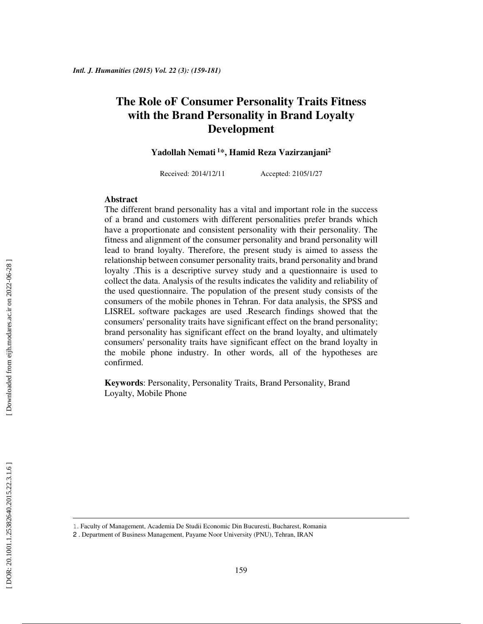# **The Role oF Consumer Personality Traits Fitness with the Brand Personality in Brand Loyalty Development**

**Yadollah Nemati<sup>1</sup>\*, Hamid Reza Vazirzanjani 2**

Received: 2014/12/11 Accepted: 2105/1/27

#### **Abstract**

The different brand personality has a vital and important role in the success of a brand and customers with different personalities prefer brands which have a proportionate and consistent personality with their personality. The fitness and alignment of the consumer personality and brand personality will lead to brand loyalty. Therefore, the present study is aimed to assess the relationship between consumer personality traits, brand personality and brand loyalty . This is a descriptive survey study and a questionnaire is used to collect the data. Analysis of the results indicates the validity and reliability of the used questionnaire. The population of the present study consists of the consumers of the mobile phones in Tehran. For data analysis, the SPSS and LISREL software packages are used .Research findings showed that the consumers' personality traits have significant effect on the brand personality; brand personality has significant effect on the brand loyalty, and ultimately consumers' personality traits have significant effect on the brand loyalty in the mobile phone industry. In other words, all of the hypotheses are confirmed.

**Keywords**: Personality, Personality Traits, Brand Personality, Brand Loyalty, Mobile Phone

 $\overline{a}$ 

<sup>1</sup>. Faculty of Management, Academia De Studii Economic Din Bucuresti, Bucharest, Romania

<sup>2</sup> . Department of Business Management, Payame Noor University (PNU), Tehran, IRAN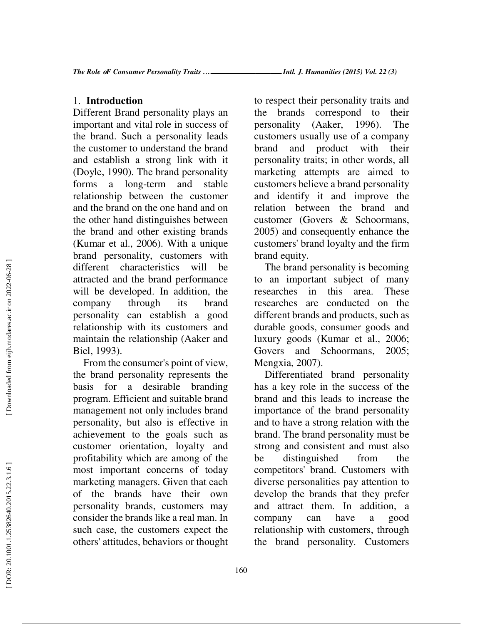## 1. **Introduction**

Different Brand personality plays an important and vital role in success of the brand. Such a personality leads the customer to understand the brand and establish a strong link with it (Doyle, 1990). The brand personality forms a long-term and stable relationship between the customer and the brand on the one hand and on the other hand distinguishes between the brand and other existing brands (Kumar et al., 2006). With a unique brand personality, customers with different characteristics will be attracted and the brand performance will be developed. In addition, the company through its brand personality can establish a good relationship with its customers and maintain the relationship (Aaker and Biel, 1993).

From the consumer's point of view, the brand personality represents the basis for a desirable branding program. Efficient and suitable brand management not only includes brand personality, but also is effective in achievement to the goals such as customer orientation, loyalty and profitability which are among of the most important concerns of today marketing managers. Given that each of the brands have their own personality brands, customers may consider the brands like a real man. In such case, the customers expect the others' attitudes, behaviors or thought

to respect their personality traits and the brands correspond to their personality (Aaker, 1996). The customers usually use of a company brand and product with their personality traits; in other words, all marketing attempts are aimed to customers believe a brand personality and identify it and improve the relation between the brand and customer (Govers & Schoormans, 2005) and consequently enhance the customers' brand loyalty and the firm brand equity.

The brand personality is becoming to an important subject of many researches in this area. These researches are conducted on the different brands and products, such as durable goods, consumer goods and luxury goods (Kumar et al., 2006; Govers and Schoormans, 2005; Mengxia, 2007).

Differentiated brand personality has a key role in the success of the brand and this leads to increase the importance of the brand personality and to have a strong relation with the brand. The brand personality must be strong and consistent and must also be distinguished from the competitors' brand. Customers with diverse personalities pay attention to develop the brands that they prefer and attract them. In addition, a company can have a good relationship with customers, through the brand personality. Customers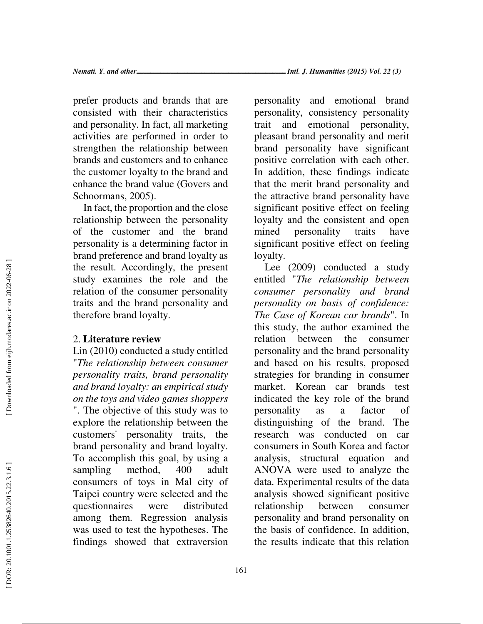prefer products and brands that are consisted with their characteristics and personality. In fact, all marketing activities are performed in order to strengthen the relationship between brands and customers and to enhance the customer loyalty to the brand and enhance the brand value (Govers and Schoormans, 2005).

In fact, the proportion and the close relationship between the personality of the customer and the brand personality is a determining factor in brand preference and brand loyalty as the result. Accordingly, the present study examines the role and the relation of the consumer personality traits and the brand personality and therefore brand loyalty.

### 2. **Literature review**

Lin (2010) conducted a study entitled "*The relationship between consumer personality traits, brand personality and brand loyalty: an empirical study on the toys and video games shoppers* ". The objective of this study was to explore the relationship between the customers' personality traits, the brand personality and brand loyalty. To accomplish this goal, by using a sampling method, 400 adult consumers of toys in Mal city of Taipei country were selected and the questionnaires were distributed among them. Regression analysis was used to test the hypotheses. The findings showed that extraversion

personality and emotional brand personality, consistency personality trait and emotional personality, pleasant brand personality and merit brand personality have significant positive correlation with each other. In addition, these findings indicate that the merit brand personality and the attractive brand personality have significant positive effect on feeling loyalty and the consistent and open mined personality traits have significant positive effect on feeling loyalty.

Lee (2009) conducted a study entitled "*The relationship between consumer personality and brand personality on basis of confidence: The Case of Korean car brands*". In this study, the author examined the relation between the consumer personality and the brand personality and based on his results, proposed strategies for branding in consumer market. Korean car brands test indicated the key role of the brand personality as a factor of distinguishing of the brand. The research was conducted on car consumers in South Korea and factor analysis, structural equation and ANOVA were used to analyze the data. Experimental results of the data analysis showed significant positive relationship between consumer personality and brand personality on the basis of confidence. In addition, the results indicate that this relation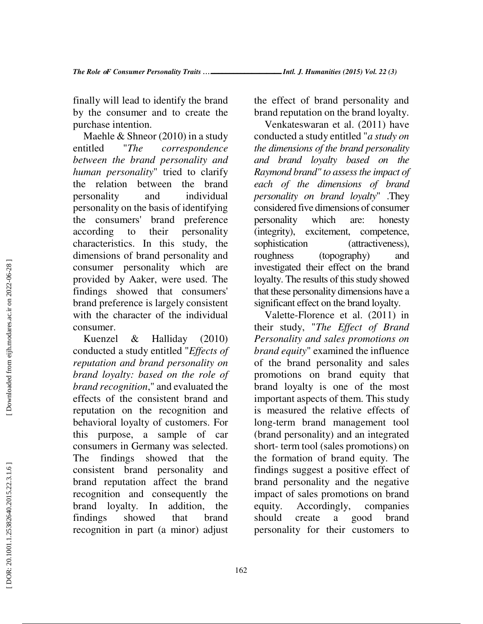finally will lead to identify the brand by the consumer and to create the purchase intention.

Maehle & Shneor (2010) in a study entitled "*The correspondence between the brand personality and human personality*" tried to clarify the relation between the brand personality and individual personality on the basis of identifying the consumers' brand preference according to their personality characteristics. In this study, the dimensions of brand personality and consumer personality which are provided by Aaker, were used. The findings showed that consumers' brand preference is largely consistent with the character of the individual consumer.

Kuenzel & Halliday (2010) conducted a study entitled "*Effects of reputation and brand personality on brand loyalty: based on the role of brand recognition*," and evaluated the effects of the consistent brand and reputation on the recognition and behavioral loyalty of customers. For this purpose, a sample of car consumers in Germany was selected. The findings showed that the consistent brand personality and brand reputation affect the brand recognition and consequently the brand loyalty. In addition, the findings showed that brand recognition in part (a minor) adjust

the effect of brand personality and brand reputation on the brand loyalty.

Venkateswaran et al. (2011) have conducted a study entitled "*a study on the dimensions of the brand personality and brand loyalty based on the Raymond brand" to assess the impact of each of the dimensions of brand personality on brand loyalty*" .They considered five dimensions of consumer personality which are: honesty (integrity), excitement, competence, sophistication (attractiveness), roughness (topography) and investigated their effect on the brand loyalty. The results of this study showed that these personality dimensions have a significant effect on the brand loyalty.

Valette-Florence et al. (2011) in their study, "*The Effect of Brand Personality and sales promotions on brand equity*" examined the influence of the brand personality and sales promotions on brand equity that brand loyalty is one of the most important aspects of them. This study is measured the relative effects of long-term brand management tool (brand personality) and an integrated short- term tool (sales promotions) on the formation of brand equity. The findings suggest a positive effect of brand personality and the negative impact of sales promotions on brand equity. Accordingly, companies should create a good brand personality for their customers to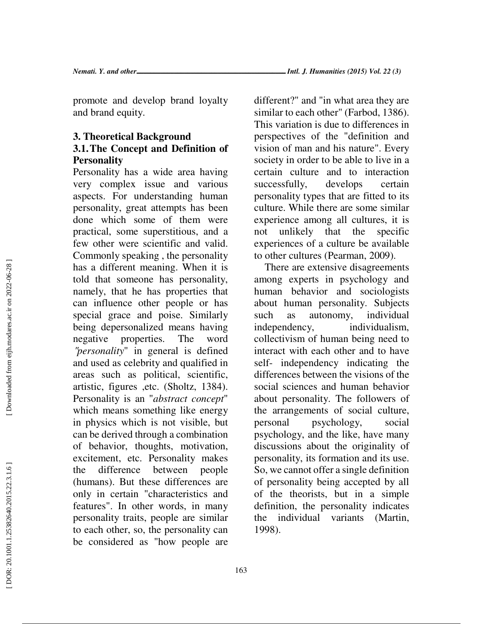promote and develop brand loyalty and brand equity.

## **3. Theoretical Background 3.1.The Concept and Definition of Personality**

Personality has a wide area having very complex issue and various aspects. For understanding human personality, great attempts has been done which some of them were practical, some superstitious, and a few other were scientific and valid. Commonly speaking , the personality has a different meaning. When it is told that someone has personality, namely, that he has properties that can influence other people or has special grace and poise. Similarly being depersonalized means having negative properties. The word "*personality*" in general is defined and used as celebrity and qualified in areas such as political, scientific, artistic, figures ,etc. (Sholtz, 1384). Personality is an "*abstract concept*" which means something like energy in physics which is not visible, but can be derived through a combination of behavior, thoughts, motivation, excitement, etc. Personality makes the difference between people (humans). But these differences are only in certain "characteristics and features". In other words, in many personality traits, people are similar to each other, so, the personality can be considered as "how people are different?" and "in what area they are similar to each other" (Farbod, 1386). This variation is due to differences in perspectives of the "definition and vision of man and his nature". Every society in order to be able to live in a certain culture and to interaction successfully, develops certain personality types that are fitted to its culture. While there are some similar experience among all cultures, it is not unlikely that the specific experiences of a culture be available to other cultures (Pearman, 2009).

There are extensive disagreements among experts in psychology and human behavior and sociologists about human personality. Subjects such as autonomy, individual independency, individualism, collectivism of human being need to interact with each other and to have self- independency indicating the differences between the visions of the social sciences and human behavior about personality. The followers of the arrangements of social culture, personal psychology, social psychology, and the like, have many discussions about the originality of personality, its formation and its use. So, we cannot offer a single definition of personality being accepted by all of the theorists, but in a simple definition, the personality indicates the individual variants (Martin, 1998).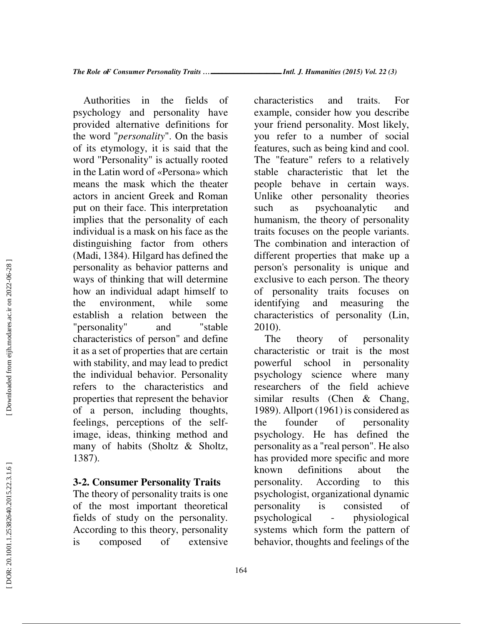Authorities in the fields of psychology and personality have provided alternative definitions for the word "*personality*". On the basis of its etymology, it is said that the word "Personality" is actually rooted in the Latin word of «Persona» which means the mask which the theater actors in ancient Greek and Roman put on their face. This interpretation implies that the personality of each individual is a mask on his face as the distinguishing factor from others (Madi, 1384). Hilgard has defined the personality as behavior patterns and ways of thinking that will determine how an individual adapt himself to the environment, while some establish a relation between the "personality" and "stable characteristics of person" and define it as a set of properties that are certain with stability, and may lead to predict the individual behavior. Personality refers to the characteristics and properties that represent the behavior of a person, including thoughts, feelings, perceptions of the selfimage, ideas, thinking method and many of habits (Sholtz & Sholtz, 1387).

### **3-2. Consumer Personality Traits**

The theory of personality traits is one of the most important theoretical fields of study on the personality. According to this theory, personality is composed of extensive *…*ـــــــــــــــــــ *Intl. J. Humanities (2015) Vol. 22 (3)*

characteristics and traits. For example, consider how you describe your friend personality. Most likely, you refer to a number of social features, such as being kind and cool. The "feature" refers to a relatively stable characteristic that let the people behave in certain ways. Unlike other personality theories such as psychoanalytic and humanism, the theory of personality traits focuses on the people variants. The combination and interaction of different properties that make up a person's personality is unique and exclusive to each person. The theory of personality traits focuses on identifying and measuring the characteristics of personality (Lin, 2010).

The theory of personality characteristic or trait is the most powerful school in personality psychology science where many researchers of the field achieve similar results (Chen & Chang, 1989). Allport (1961) is considered as the founder of personality psychology. He has defined the personality as a "real person". He also has provided more specific and more known definitions about the personality. According to this psychologist, organizational dynamic personality is consisted of psychological - physiological systems which form the pattern of behavior, thoughts and feelings of the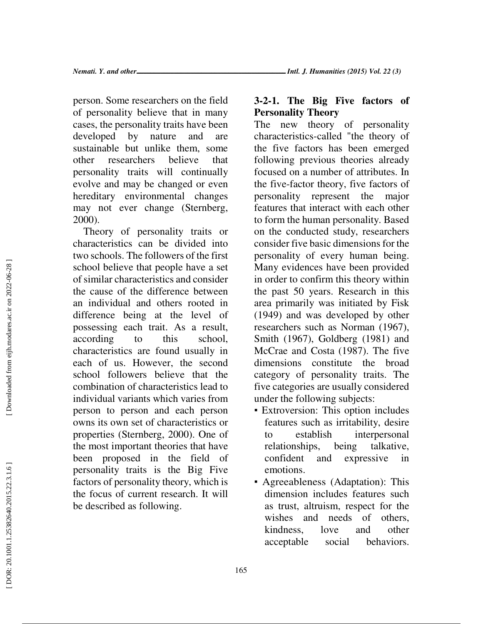person. Some researchers on the field of personality believe that in many cases, the personality traits have been developed by nature and are sustainable but unlike them, some other researchers believe that personality traits will continually evolve and may be changed or even hereditary environmental changes may not ever change (Sternberg, 2000).

Theory of personality traits or characteristics can be divided into two schools. The followers of the first school believe that people have a set of similar characteristics and consider the cause of the difference between an individual and others rooted in difference being at the level of possessing each trait. As a result, according to this school, characteristics are found usually in each of us. However, the second school followers believe that the combination of characteristics lead to individual variants which varies from person to person and each person owns its own set of characteristics or properties (Sternberg, 2000). One of the most important theories that have been proposed in the field of personality traits is the Big Five factors of personality theory, which is the focus of current research. It will be described as following.

### **3-2-1. The Big Five factors of Personality Theory**

The new theory of personality characteristics-called "the theory of the five factors has been emerged following previous theories already focused on a number of attributes. In the five-factor theory, five factors of personality represent the major features that interact with each other to form the human personality. Based on the conducted study, researchers consider five basic dimensions for the personality of every human being. Many evidences have been provided in order to confirm this theory within the past 50 years. Research in this area primarily was initiated by Fisk (1949) and was developed by other researchers such as Norman (1967), Smith (1967), Goldberg (1981) and McCrae and Costa (1987). The five dimensions constitute the broad category of personality traits. The five categories are usually considered under the following subjects:<br>• Extroversion: This option includes

- features such as irritability, desire to establish interpersonal relationships, being talkative, confident and expressive in emotions.
- **•** Agreeableness (Adaptation): This dimension includes features such as trust, altruism, respect for the wishes and needs of others, kindness, love and other acceptable social behaviors.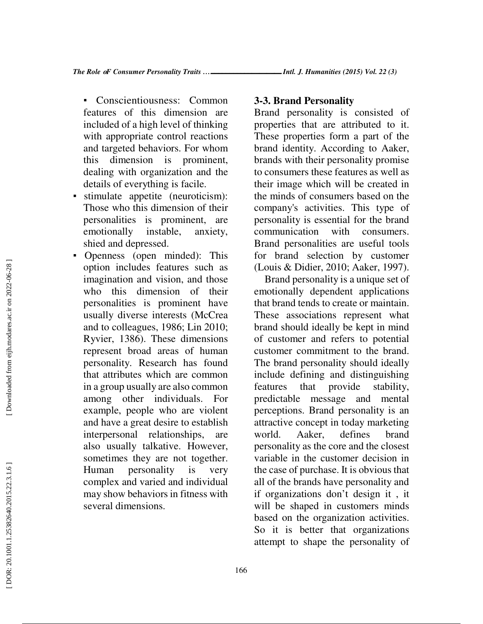- Conscientiousness: Common features of this dimension are included of a high level of thinking with appropriate control reactions and targeted behaviors. For whom this dimension is prominent, dealing with organization and the details of everything is facile.
- stimulate appetite (neuroticism): Those who this dimension of their personalities is prominent, are emotionally instable, anxiety, shied and depressed.
- Openness (open minded): This option includes features such as imagination and vision, and those who this dimension of their personalities is prominent have usually diverse interests (McCrea and to colleagues, 1986; Lin 2010; Ryvier, 1386). These dimensions represent broad areas of human personality. Research has found that attributes which are common in a group usually are also common among other individuals. For example, people who are violent and have a great desire to establish interpersonal relationships, are also usually talkative. However, sometimes they are not together. Human personality is very complex and varied and individual may show behaviors in fitness with several dimensions.

#### **3-3. Brand Personality**

Brand personality is consisted of properties that are attributed to it. These properties form a part of the brand identity. According to Aaker, brands with their personality promise to consumers these features as well as their image which will be created in the minds of consumers based on the company's activities. This type of personality is essential for the brand communication with consumers. Brand personalities are useful tools for brand selection by customer (Louis & Didier, 2010; Aaker, 1997).

Brand personality is a unique set of emotionally dependent applications that brand tends to create or maintain. These associations represent what brand should ideally be kept in mind of customer and refers to potential customer commitment to the brand. The brand personality should ideally include defining and distinguishing features that provide stability, predictable message and mental perceptions. Brand personality is an attractive concept in today marketing world. Aaker, defines brand personality as the core and the closest variable in the customer decision in the case of purchase. It is obvious that all of the brands have personality and if organizations don't design it , it will be shaped in customers minds based on the organization activities. So it is better that organizations attempt to shape the personality of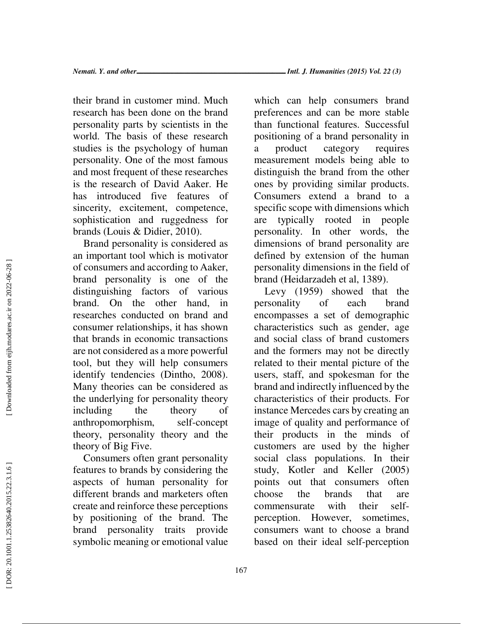their brand in customer mind. Much research has been done on the brand personality parts by scientists in the world. The basis of these research studies is the psychology of human personality. One of the most famous and most frequent of these researches is the research of David Aaker. He has introduced five features of sincerity, excitement, competence, sophistication and ruggedness for brands (Louis & Didier, 2010).

Brand personality is considered as an important tool which is motivator of consumers and according to Aaker, brand personality is one of the distinguishing factors of various brand. On the other hand, in researches conducted on brand and consumer relationships, it has shown that brands in economic transactions are not considered as a more powerful tool, but they will help consumers identify tendencies (Dintho, 2008). Many theories can be considered as the underlying for personality theory including the theory of anthropomorphism, self-concept theory, personality theory and the theory of Big Five.

Consumers often grant personality features to brands by considering the aspects of human personality for different brands and marketers often create and reinforce these perceptions by positioning of the brand. The brand personality traits provide symbolic meaning or emotional value which can help consumers brand preferences and can be more stable than functional features. Successful positioning of a brand personality in a product category requires measurement models being able to distinguish the brand from the other ones by providing similar products. Consumers extend a brand to a specific scope with dimensions which are typically rooted in people personality. In other words, the dimensions of brand personality are defined by extension of the human personality dimensions in the field of brand (Heidarzadeh et al, 1389).

Levy (1959) showed that the personality of each brand encompasses a set of demographic characteristics such as gender, age and social class of brand customers and the formers may not be directly related to their mental picture of the users, staff, and spokesman for the brand and indirectly influenced by the characteristics of their products. For instance Mercedes cars by creating an image of quality and performance of their products in the minds of customers are used by the higher social class populations. In their study, Kotler and Keller (2005) points out that consumers often choose the brands that are commensurate with their selfperception. However, sometimes, consumers want to choose a brand based on their ideal self-perception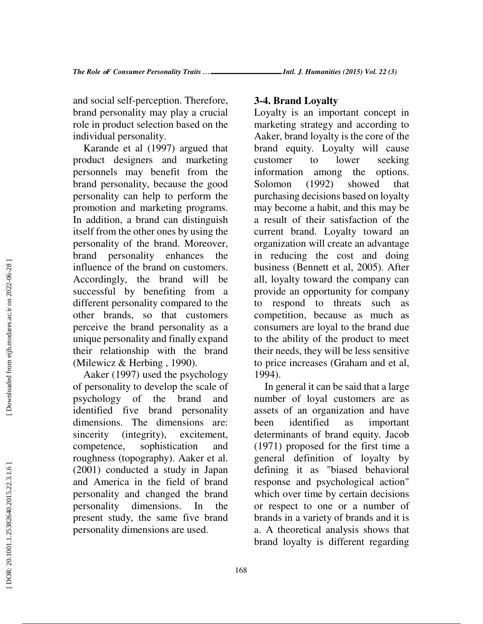and social self-perception. Therefore, brand personality may play a crucial role in product selection based on the individual personality.

Karande et al (1997) argued that product designers and marketing personnels may benefit from the brand personality, because the good personality can help to perform the promotion and marketing programs. In addition, a brand can distinguish itself from the other ones by using the personality of the brand. Moreover, brand personality enhances the influence of the brand on customers. Accordingly, the brand will be successful by benefiting from a different personality compared to the other brands, so that customers perceive the brand personality as a unique personality and finally expand their relationship with the brand (Milewicz & Herbing , 1990).

Aaker (1997) used the psychology of personality to develop the scale of psychology of the brand and identified five brand personality dimensions. The dimensions are: sincerity (integrity), excitement, competence, sophistication and roughness (topography). Aaker et al. (2001) conducted a study in Japan and America in the field of brand personality and changed the brand personality dimensions. In the present study, the same five brand personality dimensions are used.

#### **3-4. Brand Loyalty**

Loyalty is an important concept in marketing strategy and according to Aaker, brand loyalty is the core of the brand equity. Loyalty will cause customer to lower seeking information among the options. Solomon (1992) showed that purchasing decisions based on loyalty may become a habit, and this may be a result of their satisfaction of the current brand. Loyalty toward an organization will create an advantage in reducing the cost and doing business (Bennett et al, 2005). After all, loyalty toward the company can provide an opportunity for company to respond to threats such as competition, because as much as consumers are loyal to the brand due to the ability of the product to meet their needs, they will be less sensitive to price increases (Graham and et al, 1994).

In general it can be said that a large number of loyal customers are as assets of an organization and have been identified as important determinants of brand equity. Jacob (1971) proposed for the first time a general definition of loyalty by defining it as "biased behavioral response and psychological action" which over time by certain decisions or respect to one or a number of brands in a variety of brands and it is a. A theoretical analysis shows that brand loyalty is different regarding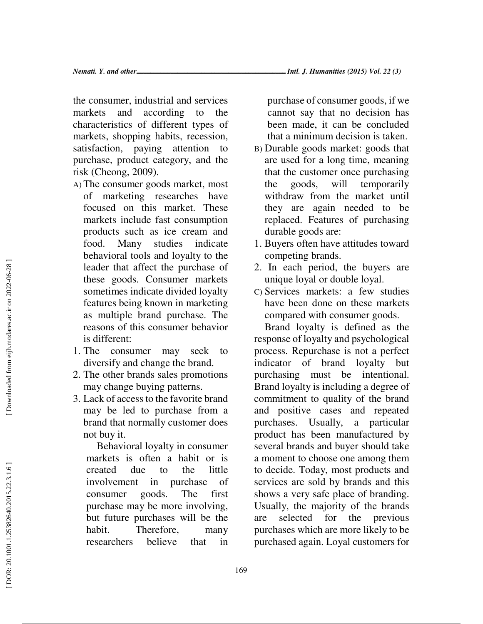the consumer, industrial and services markets and according to the characteristics of different types of markets, shopping habits, recession, satisfaction, paying attention to purchase, product category, and the risk (Cheong, 2009).

- A) The consumer goods market, most of marketing researches have focused on this market. These markets include fast consumption products such as ice cream and food. Many studies indicate behavioral tools and loyalty to the leader that affect the purchase of these goods. Consumer markets sometimes indicate divided loyalty features being known in marketing as multiple brand purchase. The reasons of this consumer behavior is different:
- 1. The consumer may seek to diversify and change the brand.
- 2. The other brands sales promotions may change buying patterns.
- 3. Lack of access to the favorite brand may be led to purchase from a brand that normally customer does not buy it.

Behavioral loyalty in consumer markets is often a habit or is created due to the little involvement in purchase of consumer goods. The first purchase may be more involving, but future purchases will be the habit. Therefore, many researchers believe that in

purchase of consumer goods, if we cannot say that no decision has been made, it can be concluded that a minimum decision is taken.

- B) Durable goods market: goods that are used for a long time, meaning that the customer once purchasing the goods, will temporarily withdraw from the market until they are again needed to be replaced. Features of purchasing durable goods are:
- 1. Buyers often have attitudes toward competing brands.
- 2. In each period, the buyers are unique loyal or double loyal.
- C) Services markets: a few studies have been done on these markets compared with consumer goods.

Brand loyalty is defined as the response of loyalty and psychological process. Repurchase is not a perfect indicator of brand loyalty but purchasing must be intentional. Brand loyalty is including a degree of commitment to quality of the brand and positive cases and repeated purchases. Usually, a particular product has been manufactured by several brands and buyer should take a moment to choose one among them to decide. Today, most products and services are sold by brands and this shows a very safe place of branding. Usually, the majority of the brands are selected for the previous purchases which are more likely to be purchased again. Loyal customers for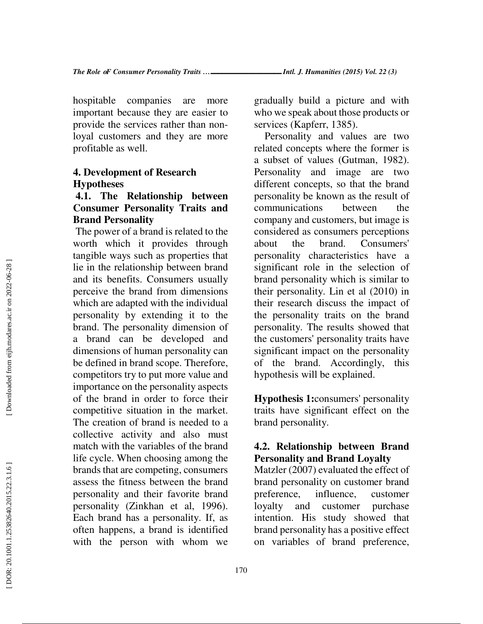hospitable companies are more important because they are easier to provide the services rather than nonloyal customers and they are more profitable as well.

### **4. Development of Research Hypotheses**

## **4.1. The Relationship between Consumer Personality Traits and Brand Personality**

The power of a brand is related to the worth which it provides through tangible ways such as properties that lie in the relationship between brand and its benefits. Consumers usually perceive the brand from dimensions which are adapted with the individual personality by extending it to the brand. The personality dimension of a brand can be developed and dimensions of human personality can be defined in brand scope. Therefore, competitors try to put more value and importance on the personality aspects of the brand in order to force their competitive situation in the market. The creation of brand is needed to a collective activity and also must match with the variables of the brand life cycle. When choosing among the brands that are competing, consumers assess the fitness between the brand personality and their favorite brand personality (Zinkhan et al, 1996). Each brand has a personality. If, as often happens, a brand is identified with the person with whom we

gradually build a picture and with who we speak about those products or services (Kapferr, 1385).

Personality and values are two related concepts where the former is a subset of values (Gutman, 1982). Personality and image are two different concepts, so that the brand personality be known as the result of communications between the company and customers, but image is considered as consumers perceptions about the brand. Consumers' personality characteristics have a significant role in the selection of brand personality which is similar to their personality. Lin et al (2010) in their research discuss the impact of the personality traits on the brand personality. The results showed that the customers' personality traits have significant impact on the personality of the brand. Accordingly, this hypothesis will be explained.

**Hypothesis 1:**consumers' personality traits have significant effect on the brand personality.

## **4.2. Relationship between Brand Personality and Brand Loyalty**

Matzler (2007) evaluated the effect of brand personality on customer brand preference, influence, customer loyalty and customer purchase intention. His study showed that brand personality has a positive effect on variables of brand preference,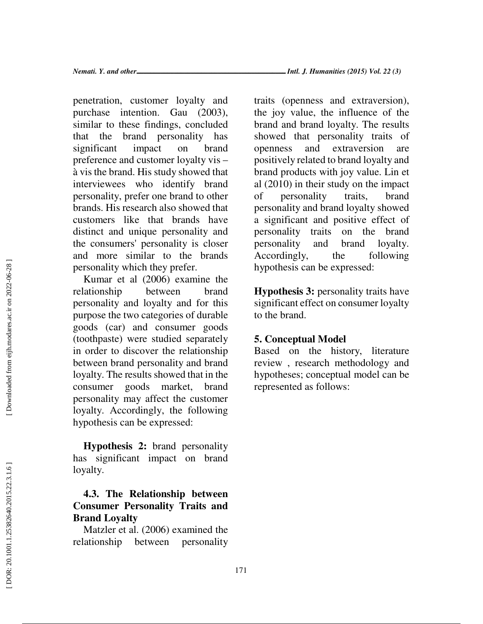penetration, customer loyalty and purchase intention. Gau (2003), similar to these findings, concluded that the brand personality has significant impact on brand preference and customer loyalty vis – à vis the brand. His study showed that interviewees who identify brand personality, prefer one brand to other brands. His research also showed that customers like that brands have distinct and unique personality and the consumers' personality is closer and more similar to the brands personality which they prefer.

Kumar et al (2006) examine the relationship between brand personality and loyalty and for this purpose the two categories of durable goods (car) and consumer goods (toothpaste) were studied separately in order to discover the relationship between brand personality and brand loyalty. The results showed that in the consumer goods market, brand personality may affect the customer loyalty. Accordingly, the following hypothesis can be expressed:

**Hypothesis 2:** brand personality has significant impact on brand loyalty.

## **4.3. The Relationship between Consumer Personality Traits and Brand Loyalty**

Matzler et al. (2006) examined the relationship between personality traits (openness and extraversion), the joy value, the influence of the brand and brand loyalty. The results showed that personality traits of openness and extraversion are positively related to brand loyalty and brand products with joy value. Lin et al (2010) in their study on the impact of personality traits, brand personality and brand loyalty showed a significant and positive effect of personality traits on the brand personality and brand loyalty. Accordingly, the following hypothesis can be expressed:

**Hypothesis 3:** personality traits have significant effect on consumer loyalty to the brand.

### **5. Conceptual Model**

Based on the history, literature review , research methodology and hypotheses; conceptual model can be represented as follows: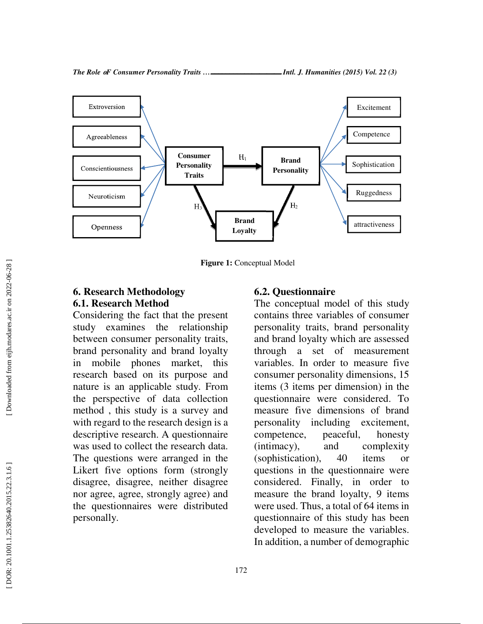

**Figure 1:** Conceptual Model

### **6. Research Methodology 6.1. Research Method**

Considering the fact that the present study examines the relationship between consumer personality traits, brand personality and brand loyalty in mobile phones market, this research based on its purpose and nature is an applicable study. From the perspective of data collection method , this study is a survey and with regard to the research design is a descriptive research. A questionnaire was used to collect the research data. The questions were arranged in the Likert five options form (strongly disagree, disagree, neither disagree nor agree, agree, strongly agree) and the questionnaires were distributed personally.

#### **6.2. Questionnaire**

The conceptual model of this study contains three variables of consumer personality traits, brand personality and brand loyalty which are assessed through a set of measurement variables. In order to measure five consumer personality dimensions, 15 items (3 items per dimension) in the questionnaire were considered. To measure five dimensions of brand personality including excitement, competence, peaceful, honesty (intimacy), and complexity (sophistication), 40 items or questions in the questionnaire were considered. Finally, in order to measure the brand loyalty, 9 items were used. Thus, a total of 64 items in questionnaire of this study has been developed to measure the variables. In addition, a number of demographic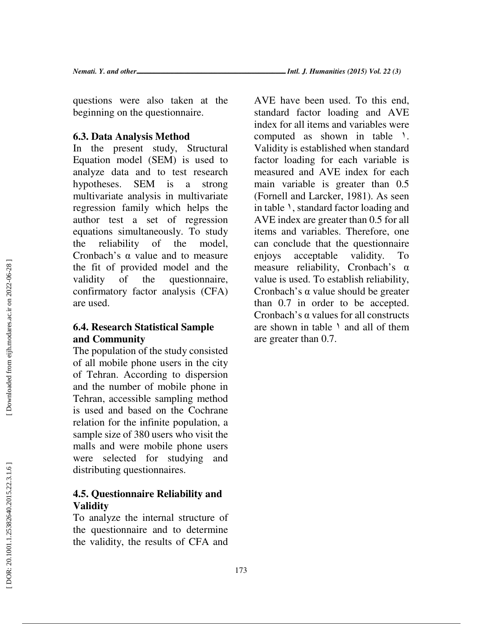*Nemati. Y. and other*ــــــــــــــــــــــــــــــــــــــــــــ *Intl. J. Humanities (2015) Vol. 22 (3)*

questions were also taken at the beginning on the questionnaire.

### **6.3. Data Analysis Method**

In the present study, Structural Equation model (SEM) is used to analyze data and to test research hypotheses. SEM is a strong multivariate analysis in multivariate regression family which helps the author test a set of regression equations simultaneously. To study the reliability of the model, Cronbach's  $\alpha$  value and to measure the fit of provided model and the validity of the questionnaire, confirmatory factor analysis (CFA) are used.

### **6.4. Research Statistical Sample and Community**

The population of the study consisted of all mobile phone users in the city of Tehran. According to dispersion and the number of mobile phone in Tehran, accessible sampling method is used and based on the Cochrane relation for the infinite population, a sample size of 380 users who visit the malls and were mobile phone users were selected for studying and distributing questionnaires.

## **4.5. Questionnaire Reliability and Validity**

To analyze the internal structure of the questionnaire and to determine the validity, the results of CFA and

AVE have been used. To this end, standard factor loading and AVE index for all items and variables were computed as shown in table \. Validity is established when standard factor loading for each variable is measured and AVE index for each main variable is greater than 0.5 (Fornell and Larcker, 1981). As seen in table ١, standard factor loading and AVE index are greater than 0.5 for all items and variables. Therefore, one can conclude that the questionnaire enjoys acceptable validity. To measure reliability, Cronbach's α value is used. To establish reliability, Cronbach's  $\alpha$  value should be greater than 0.7 in order to be accepted. Cronbach's  $\alpha$  values for all constructs are shown in table  $\lambda$  and all of them are greater than 0.7.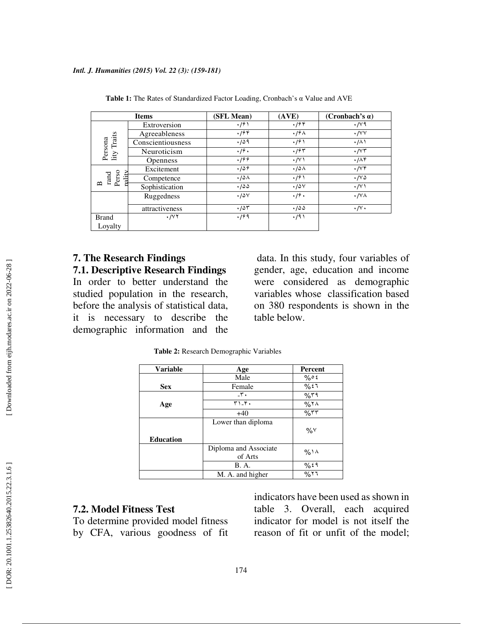| <b>Items</b>                                 |                         | (SFL Mean)            | (AVE)                 | (Cronbach's $\alpha$ )     |  |
|----------------------------------------------|-------------------------|-----------------------|-----------------------|----------------------------|--|
| Persona<br>lity Traits                       | Extroversion            | $\cdot$ /9 \          | .799                  | $\cdot$ / $\vee$ ۹         |  |
|                                              | Agreeableness           | .799                  | $\cdot$ /9 $\wedge$   | $\cdot$ / $\vee\vee$       |  |
|                                              | Conscientiousness       | .709                  | $\cdot$ /9)           | $\cdot/\wedge$             |  |
|                                              | Neuroticism             | $\cdot$ / $\hat{r}$ . | .795                  | $\cdot$ / $\vee\tau$       |  |
|                                              | <b>Openness</b>         | .199                  | $\cdot$ / $\vee$      | .776                       |  |
| rand<br>Perso<br>nality<br>$\mathbf{\Omega}$ | Excitement              | .789                  | ۰/۵۸                  | $\cdot$ / $\vee \check{r}$ |  |
|                                              | Competence              | $\cdot$ 108           | $\cdot$ /9)           | $\cdot$ / $\vee$ $\circ$   |  |
|                                              | Sophistication          | .700                  | .70 <sub>V</sub>      | $\cdot$ / $\vee$           |  |
|                                              | Ruggedness              | .78 <sub>V</sub>      | $\cdot$ / $\hat{r}$ . | $\cdot$ / $\vee$ $\wedge$  |  |
|                                              | attractiveness          | .787                  | .700                  | $\cdot/\vee\cdot$          |  |
| <b>Brand</b>                                 | $\cdot$ / $\vee$ $\vee$ | .199                  | $\cdot$ /9)           |                            |  |
| Loyalty                                      |                         |                       |                       |                            |  |

Table 1: The Rates of Standardized Factor Loading, Cronbach's α Value and AVE

# **7. The Research Findings**

**7.1. Descriptive Research Findings**  In order to better understand the studied population in the research, before the analysis of statistical data, it is necessary to describe the demographic information and the

 data. In this study, four variables of gender, age, education and income were considered as demographic variables whose classification based on 380 respondents is shown in the table below.

**Table 2:** Research Demographic Variables

| <b>Variable</b>  | Age                   | Percent        |  |
|------------------|-----------------------|----------------|--|
|                  | Male                  | $\%$ $\circ$ { |  |
| <b>Sex</b>       | Female                | 9657           |  |
|                  | $-\mathbf{r}$ .       | %۳۹            |  |
| Age              | $T1 - Y$              | %Y             |  |
|                  | $+40$                 | $\%$ ٣٣        |  |
|                  | Lower than diploma    |                |  |
|                  |                       | $\%$ Y         |  |
| <b>Education</b> |                       |                |  |
|                  | Diploma and Associate | %۱۸            |  |
|                  | of Arts               |                |  |
|                  | B. A.                 | 9659           |  |
|                  | M. A. and higher      | %۲٦            |  |

#### **7.2. Model Fitness Test**

To determine provided model fitness by CFA, various goodness of fit indicators have been used as shown in table 3. Overall, each acquired indicator for model is not itself the reason of fit or unfit of the model;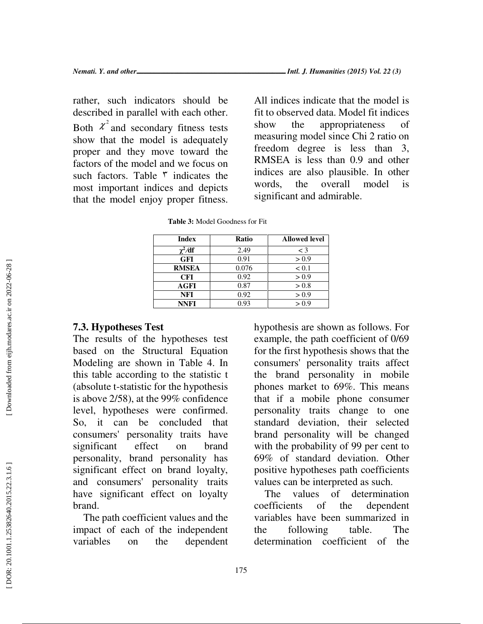rather, such indicators should be described in parallel with each other. Both  $\chi^2$  and secondary fitness tests show that the model is adequately proper and they move toward the factors of the model and we focus on such factors. Table  $\bar{r}$  indicates the most important indices and depicts that the model enjoy proper fitness.

All indices indicate that the model is fit to observed data. Model fit indices show the appropriateness of measuring model since Chi 2 ratio on freedom degree is less than 3, RMSEA is less than 0.9 and other indices are also plausible. In other words, the overall model is significant and admirable.

| Index        | <b>Ratio</b> | <b>Allowed level</b> |
|--------------|--------------|----------------------|
| $\chi^2/df$  | 2.49         | $\lt$ 3              |
| <b>GFI</b>   | 0.91         | > 0.9                |
| <b>RMSEA</b> | 0.076        | < 0.1                |
| <b>CFI</b>   | 0.92         | > 0.9                |
| <b>AGFI</b>  | 0.87         | > 0.8                |
| NFI          | 0.92         | > 0.9                |
| NNFI         | 0.93         | > 0.9                |

**Table 3:** Model Goodness for Fit

#### **7.3. Hypotheses Test**

The results of the hypotheses test based on the Structural Equation Modeling are shown in Table 4. In this table according to the statistic t (absolute t-statistic for the hypothesis is above 2/58), at the 99% confidence level, hypotheses were confirmed. So, it can be concluded that consumers' personality traits have significant effect on brand personality, brand personality has significant effect on brand loyalty, and consumers' personality traits have significant effect on loyalty brand.

The path coefficient values and the impact of each of the independent variables on the dependent

hypothesis are shown as follows. For example, the path coefficient of 0/69 for the first hypothesis shows that the consumers' personality traits affect the brand personality in mobile phones market to 69%. This means that if a mobile phone consumer personality traits change to one standard deviation, their selected brand personality will be changed with the probability of 99 per cent to 69% of standard deviation. Other positive hypotheses path coefficients values can be interpreted as such.

The values of determination coefficients of the dependent variables have been summarized in the following table. The determination coefficient of the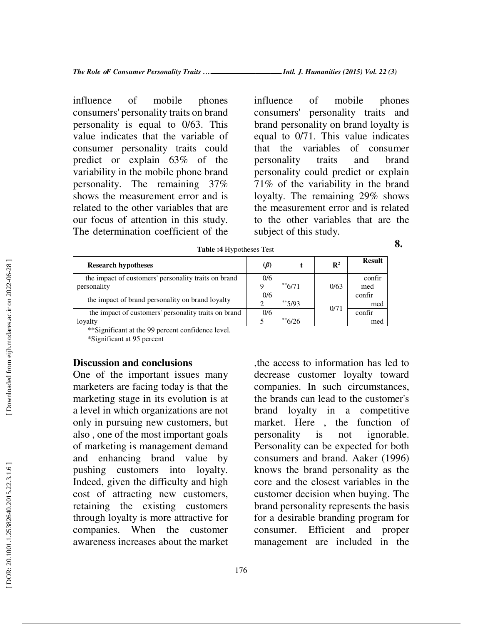influence of mobile phones consumers' personality traits on brand personality is equal to 0/63. This value indicates that the variable of consumer personality traits could predict or explain 63% of the variability in the mobile phone brand personality. The remaining 37% shows the measurement error and is related to the other variables that are our focus of attention in this study. The determination coefficient of the influence of mobile phones consumers' personality traits and brand personality on brand loyalty is equal to 0/71. This value indicates that the variables of consumer personality traits and brand personality could predict or explain 71% of the variability in the brand loyalty. The remaining 29% shows the measurement error and is related to the other variables that are the subject of this study.

**8.** 

| <b>Research hypotheses</b>                           | $\mathcal{(\beta)}$ |                     | $\mathbf{R}^2$ | <b>Result</b> |
|------------------------------------------------------|---------------------|---------------------|----------------|---------------|
| the impact of customers' personality traits on brand |                     |                     |                | confir        |
| personality                                          |                     | $*$ <sup>6/71</sup> | 0/63           | med           |
| the impact of brand personality on brand loyalty     | 0/6                 |                     |                | confir        |
|                                                      |                     | **5/93              | 0/71           | med           |
| the impact of customers' personality traits on brand | 0/6                 |                     |                | confir        |
| lovalty                                              |                     | $*$ 6/26            |                | med           |

**Table :4** Hypotheses Test

\*\*Significant at the 99 percent confidence level.

\*Significant at 95 percent

#### **Discussion and conclusions**

One of the important issues many marketers are facing today is that the marketing stage in its evolution is at a level in which organizations are not only in pursuing new customers, but also , one of the most important goals of marketing is management demand and enhancing brand value by pushing customers into loyalty. Indeed, given the difficulty and high cost of attracting new customers, retaining the existing customers through loyalty is more attractive for companies. When the customer awareness increases about the market

,the access to information has led to decrease customer loyalty toward companies. In such circumstances, the brands can lead to the customer's brand loyalty in a competitive market. Here , the function of personality is not ignorable. Personality can be expected for both consumers and brand. Aaker (1996) knows the brand personality as the core and the closest variables in the customer decision when buying. The brand personality represents the basis for a desirable branding program for consumer. Efficient and proper management are included in the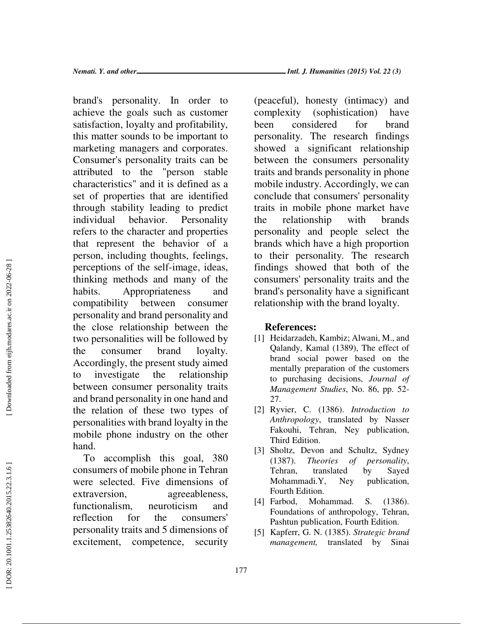brand's personality. In order to achieve the goals such as customer satisfaction, loyalty and profitability, this matter sounds to be important to marketing managers and corporates. Consumer's personality traits can be attributed to the "person stable characteristics" and it is defined as a set of properties that are identified through stability leading to predict individual behavior. Personality refers to the character and properties that represent the behavior of a person, including thoughts, feelings, perceptions of the self-image, ideas, thinking methods and many of the habits. Appropriateness and compatibility between consumer personality and brand personality and the close relationship between the two personalities will be followed by the consumer brand loyalty. Accordingly, the present study aimed to investigate the relationship between consumer personality traits and brand personality in one hand and the relation of these two types of personalities with brand loyalty in the mobile phone industry on the other hand.

To accomplish this goal, 380 consumers of mobile phone in Tehran were selected. Five dimensions of extraversion, agreeableness, functionalism, neuroticism and reflection for the consumers' personality traits and 5 dimensions of excitement, competence, security

(peaceful), honesty (intimacy) and complexity (sophistication) have been considered for brand personality. The research findings showed a significant relationship between the consumers personality traits and brands personality in phone mobile industry. Accordingly, we can conclude that consumers' personality traits in mobile phone market have the relationship with brands personality and people select the brands which have a high proportion to their personality. The research findings showed that both of the consumers' personality traits and the brand's personality have a significant relationship with the brand loyalty.

### **References:**

- [1] Heidarzadeh, Kambiz; Alwani, M., and Qalandy, Kamal (1389), The effect of brand social power based on the mentally preparation of the customers to purchasing decisions, *Journal of Management Studies*, No. 86, pp. 52- 27.
- [2] Ryvier, C. (1386). *Introduction to Anthropology*, translated by Nasser Fakouhi, Tehran, Ney publication, Third Edition.
- [3] Sholtz, Devon and Schultz, Sydney (1387). *Theories of personality*, Tehran, translated by Sayed Mohammadi.Y, Ney publication, Fourth Edition.
- [4] Farbod, Mohammad. S. (1386). Foundations of anthropology, Tehran, Pashtun publication, Fourth Edition.
- [5] Kapferr, G. N. (1385). *Strategic brand management,* translated by Sinai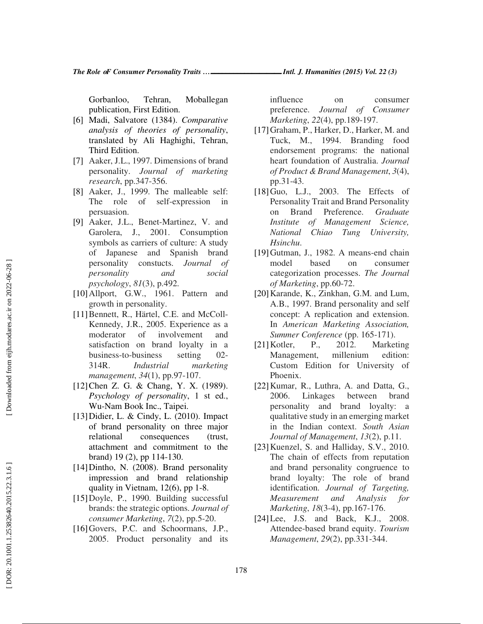Gorbanloo, Tehran, Moballegan publication, First Edition.

- [6] Madi, Salvatore (1384). *Comparative analysis of theories of personality*, translated by Ali Haghighi, Tehran, Third Edition.
- [7] Aaker, J.L., 1997. Dimensions of brand personality. *Journal of marketing research*, pp.347-356.
- [8] Aaker, J., 1999. The malleable self: The role of self-expression in persuasion.
- [9] Aaker, J.L., Benet-Martinez, V. and Garolera, J., 2001. Consumption symbols as carriers of culture: A study of Japanese and Spanish brand personality constucts. *Journal of personality and social psychology*, *81*(3), p.492.
- [10]Allport, G.W., 1961. Pattern and growth in personality.
- [11] Bennett, R., Härtel, C.E. and McColl-Kennedy, J.R., 2005. Experience as a moderator of involvement and satisfaction on brand loyalty in a business-to-business setting 02- 314R. *Industrial marketing management*, *34*(1), pp.97-107.
- [12] Chen Z. G. & Chang, Y. X. (1989). *Psychology of personality*, 1 st ed., Wu-Nam Book Inc., Taipei.
- [13]Didier, L. & Cindy, L. (2010). Impact of brand personality on three major relational consequences (trust, attachment and commitment to the brand) 19 (2), pp 114-130.
- [14]Dintho, N. (2008). Brand personality impression and brand relationship quality in Vietnam, 12(6), pp 1-8.
- [15]Doyle, P., 1990. Building successful brands: the strategic options. *Journal of consumer Marketing*, *7*(2), pp.5-20.
- [16]Govers, P.C. and Schoormans, J.P., 2005. Product personality and its

influence on consumer preference. *Journal of Consumer Marketing*, *22*(4), pp.189-197.

- [17]Graham, P., Harker, D., Harker, M. and Tuck, M., 1994. Branding food endorsement programs: the national heart foundation of Australia. *Journal of Product & Brand Management*, *3*(4), pp.31-43.
- [18]Guo, L.J., 2003. The Effects of Personality Trait and Brand Personality on Brand Preference. *Graduate Institute of Management Science, National Chiao Tung University, Hsinchu* .
- [19]Gutman, J., 1982. A means-end chain model based on consumer categorization processes. *The Journal of Marketing*, pp.60-72.
- [20]Karande, K., Zinkhan, G.M. and Lum, A.B., 1997. Brand personality and self concept: A replication and extension. In *American Marketing Association, Summer Conference* (pp. 165-171).
- [21]Kotler, P., 2012. Marketing Management, millenium edition: Custom Edition for University of Phoenix.
- [22]Kumar, R., Luthra, A. and Datta, G., 2006. Linkages between brand personality and brand loyalty: a qualitative study in an emerging market in the Indian context. *South Asian Journal of Management*, *13*(2), p.11.
- [23] Kuenzel, S. and Halliday, S.V., 2010. The chain of effects from reputation and brand personality congruence to brand loyalty: The role of brand identification. *Journal of Targeting, Measurement and Analysis for Marketing*, *18*(3-4), pp.167-176.
- [24]Lee, J.S. and Back, K.J., 2008. Attendee-based brand equity. *Tourism Management*, *29*(2), pp.331-344.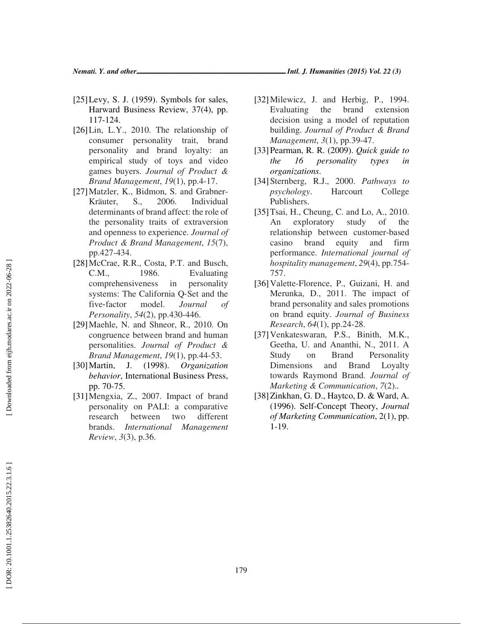- $[25]$ Levy, S. J. (1959). Symbols for sales, Harward Business Review, 37(4), pp. 117-124.
- [26]Lin, L.Y., 2010. The relationship of consumer personality trait, brand personality and brand loyalty: an empirical study of toys and video games buyers. *Journal of Product & Brand Management*, *19*(1), pp.4-17.
- [27]Matzler, K., Bidmon, S. and Grabner-Kräuter, S., 2006. Individual determinants of brand affect: the role of the personality traits of extraversion and openness to experience. *Journal of Product & Brand Management*, *15*(7), pp.427-434.
- [28]McCrae, R.R., Costa, P.T. and Busch, C.M., 1986. Evaluating comprehensiveness in personality systems: The California Q ‐Set and the five-factor model. *Journal of Personality*, *54*(2), pp.430-446.
- [29]Maehle, N. and Shneor, R., 2010. On congruence between brand and human personalities. *Journal of Product & Brand Management*, *19*(1), pp.44-53.
- [30]Martin, J. (1998). *Organization behavior*, International Business Press, pp. 70-75.
- [31]Mengxia, Z., 2007. Impact of brand personality on PALI: a comparative research between two different brands. *International Management Review*, *3*(3), p.36.
- [32] Milewicz, J. and Herbig, P., 1994. Evaluating the brand extension decision using a model of reputation building. *Journal of Product & Brand Management*, *3*(1), pp.39-47.
- [33]Pearman, R. R. (2009). *Quick guide to the 16 personality types in organizations*.
- [34]Sternberg, R.J., 2000. *Pathways to psychology*. Harcourt College Publishers.
- [35]Tsai, H., Cheung, C. and Lo, A., 2010. An exploratory study of the relationship between customer-based casino brand equity and firm performance. *International journal of hospitality management*, *29*(4), pp.754- 757.
- [36]Valette-Florence, P., Guizani, H. and Merunka, D., 2011. The impact of brand personality and sales promotions on brand equity. *Journal of Business Research*, *64*(1), pp.24-28.
- [37]Venkateswaran, P.S., Binith, M.K., Geetha, U. and Ananthi, N., 2011. A Study on Brand Personality Dimensions and Brand Loyalty towards Raymond Brand. *Journal of Marketing & Communication*, *7*(2)..
- [38]Zinkhan, G. D., Haytco, D. & Ward, A. (1996). Self-Concept Theory, *Journal of Marketing Communication*, 2(1), pp. 1-19.